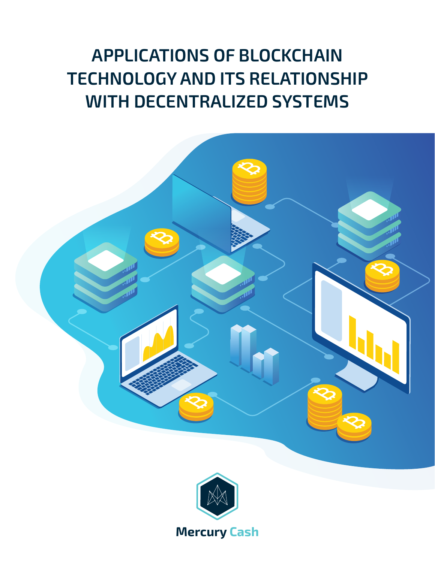# **APPLICATIONS OF BLOCKCHAIN TECHNOLOGY AND ITS RELATIONSHIP WITH DECENTRALIZED SYSTEMS**

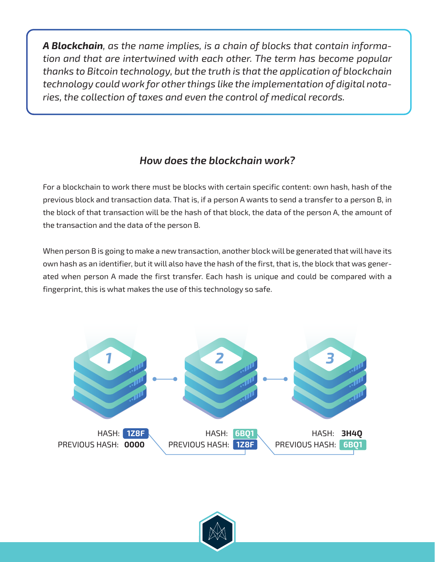*A Blockchain, as the name implies, is a chain of blocks that contain information and that are intertwined with each other. The term has become popular thanks to Bitcoin technology, but the truth is that the application of blockchain technology could work for other things like the implementation of digital notaries, the collection of taxes and even the control of medical records.*

# *How does the blockchain work?*

For a blockchain to work there must be blocks with certain specific content: own hash, hash of the previous block and transaction data. That is, if a person A wants to send a transfer to a person B, in the block of that transaction will be the hash of that block, the data of the person A, the amount of the transaction and the data of the person B.

When person B is going to make a new transaction, another block will be generated that will have its own hash as an identifier, but it will also have the hash of the first, that is, the block that was generated when person A made the first transfer. Each hash is unique and could be compared with a fingerprint, this is what makes the use of this technology so safe.



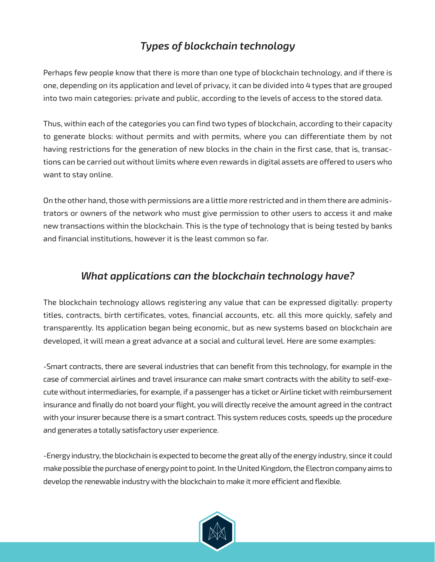# *Types of blockchain technology*

Perhaps few people know that there is more than one type of blockchain technology, and if there is one, depending on its application and level of privacy, it can be divided into 4 types that are grouped into two main categories: private and public, according to the levels of access to the stored data.

Thus, within each of the categories you can find two types of blockchain, according to their capacity to generate blocks: without permits and with permits, where you can differentiate them by not having restrictions for the generation of new blocks in the chain in the first case, that is, transactions can be carried out without limits where even rewards in digital assets are offered to users who want to stay online.

On the other hand, those with permissions are a little more restricted and in them there are administrators or owners of the network who must give permission to other users to access it and make new transactions within the blockchain. This is the type of technology that is being tested by banks and financial institutions, however it is the least common so far.

### *What applications can the blockchain technology have?*

The blockchain technology allows registering any value that can be expressed digitally: property titles, contracts, birth certificates, votes, financial accounts, etc. all this more quickly, safely and transparently. Its application began being economic, but as new systems based on blockchain are developed, it will mean a great advance at a social and cultural level. Here are some examples:

-Smart contracts, there are several industries that can benefit from this technology, for example in the case of commercial airlines and travel insurance can make smart contracts with the ability to self-execute without intermediaries, for example, if a passenger has a ticket or Airline ticket with reimbursement insurance and finally do not board your flight, you will directly receive the amount agreed in the contract with your insurer because there is a smart contract. This system reduces costs, speeds up the procedure and generates a totally satisfactory user experience.

-Energy industry, the blockchain is expected to become the great ally of the energy industry, since it could make possible the purchase of energy point to point. In the United Kingdom, the Electron company aims to develop the renewable industry with the blockchain to make it more efficient and flexible.

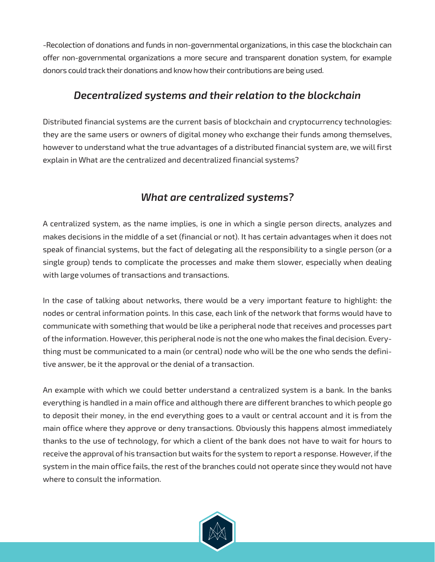-Recolection of donations and funds in non-governmental organizations, in this case the blockchain can offer non-governmental organizations a more secure and transparent donation system, for example donors could track their donations and know how their contributions are being used.

#### *Decentralized systems and their relation to the blockchain*

Distributed financial systems are the current basis of blockchain and cryptocurrency technologies: they are the same users or owners of digital money who exchange their funds among themselves, however to understand what the true advantages of a distributed financial system are, we will first explain in What are the centralized and decentralized financial systems?

# *What are centralized systems?*

A centralized system, as the name implies, is one in which a single person directs, analyzes and makes decisions in the middle of a set (financial or not). It has certain advantages when it does not speak of financial systems, but the fact of delegating all the responsibility to a single person (or a single group) tends to complicate the processes and make them slower, especially when dealing with large volumes of transactions and transactions.

In the case of talking about networks, there would be a very important feature to highlight: the nodes or central information points. In this case, each link of the network that forms would have to communicate with something that would be like a peripheral node that receives and processes part of the information. However, this peripheral node is not the one who makes the final decision. Everything must be communicated to a main (or central) node who will be the one who sends the definitive answer, be it the approval or the denial of a transaction.

An example with which we could better understand a centralized system is a bank. In the banks everything is handled in a main office and although there are different branches to which people go to deposit their money, in the end everything goes to a vault or central account and it is from the main office where they approve or deny transactions. Obviously this happens almost immediately thanks to the use of technology, for which a client of the bank does not have to wait for hours to receive the approval of his transaction but waits for the system to report a response. However, if the system in the main office fails, the rest of the branches could not operate since they would not have where to consult the information.

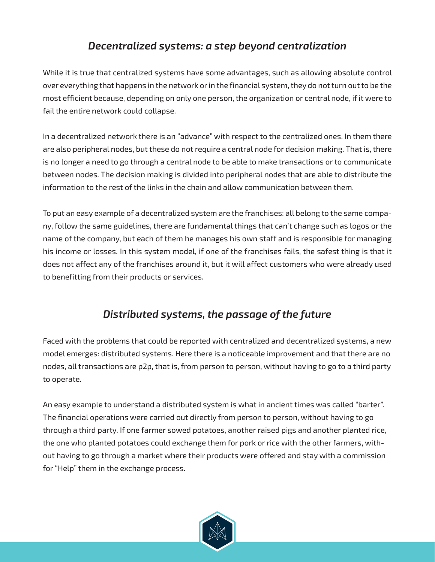# *Decentralized systems: a step beyond centralization*

While it is true that centralized systems have some advantages, such as allowing absolute control over everything that happens in the network or in the financial system, they do not turn out to be the most efficient because, depending on only one person, the organization or central node, if it were to fail the entire network could collapse.

In a decentralized network there is an "advance" with respect to the centralized ones. In them there are also peripheral nodes, but these do not require a central node for decision making. That is, there is no longer a need to go through a central node to be able to make transactions or to communicate between nodes. The decision making is divided into peripheral nodes that are able to distribute the information to the rest of the links in the chain and allow communication between them.

To put an easy example of a decentralized system are the franchises: all belong to the same company, follow the same guidelines, there are fundamental things that can't change such as logos or the name of the company, but each of them he manages his own staff and is responsible for managing his income or losses. In this system model, if one of the franchises fails, the safest thing is that it does not affect any of the franchises around it, but it will affect customers who were already used to benefitting from their products or services.

# *Distributed systems, the passage of the future*

Faced with the problems that could be reported with centralized and decentralized systems, a new model emerges: distributed systems. Here there is a noticeable improvement and that there are no nodes, all transactions are p2p, that is, from person to person, without having to go to a third party to operate.

An easy example to understand a distributed system is what in ancient times was called "barter". The financial operations were carried out directly from person to person, without having to go through a third party. If one farmer sowed potatoes, another raised pigs and another planted rice, the one who planted potatoes could exchange them for pork or rice with the other farmers, without having to go through a market where their products were offered and stay with a commission for "Help" them in the exchange process.